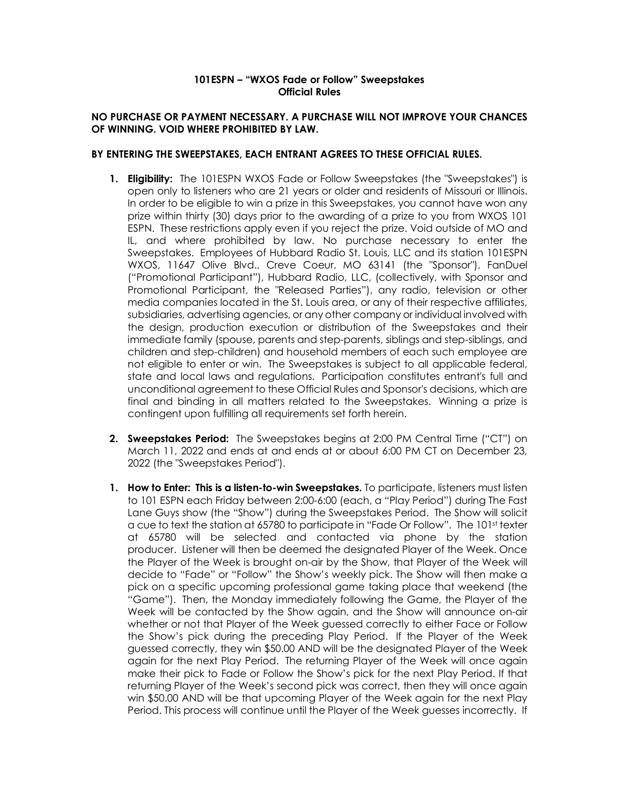## **101ESPN – "WXOS Fade or Follow" Sweepstakes Official Rules**

## **NO PURCHASE OR PAYMENT NECESSARY. A PURCHASE WILL NOT IMPROVE YOUR CHANCES OF WINNING. VOID WHERE PROHIBITED BY LAW.**

## **BY ENTERING THE SWEEPSTAKES, EACH ENTRANT AGREES TO THESE OFFICIAL RULES.**

- **1. Eligibility:** The 101ESPN WXOS Fade or Follow Sweepstakes (the "Sweepstakes") is open only to listeners who are 21 years or older and residents of Missouri or Illinois. In order to be eligible to win a prize in this Sweepstakes, you cannot have won any prize within thirty (30) days prior to the awarding of a prize to you from WXOS 101 ESPN. These restrictions apply even if you reject the prize. Void outside of MO and IL, and where prohibited by law. No purchase necessary to enter the Sweepstakes. Employees of Hubbard Radio St. Louis, LLC and its station 101ESPN WXOS, 11647 Olive Blvd., Creve Coeur, MO 63141 (the "Sponsor"), FanDuel ("Promotional Participant"), Hubbard Radio, LLC, (collectively, with Sponsor and Promotional Participant, the "Released Parties"), any radio, television or other media companies located in the St. Louis area, or any of their respective affiliates, subsidiaries, advertising agencies, or any other company or individual involved with the design, production execution or distribution of the Sweepstakes and their immediate family (spouse, parents and step-parents, siblings and step-siblings, and children and step-children) and household members of each such employee are not eligible to enter or win. The Sweepstakes is subject to all applicable federal, state and local laws and regulations. Participation constitutes entrant's full and unconditional agreement to these Official Rules and Sponsor's decisions, which are final and binding in all matters related to the Sweepstakes. Winning a prize is contingent upon fulfilling all requirements set forth herein.
- **2. Sweepstakes Period:** The Sweepstakes begins at 2:00 PM Central Time ("CT") on March 11, 2022 and ends at and ends at or about 6:00 PM CT on December 23, 2022 (the "Sweepstakes Period").
- **1. How to Enter: This is a listen-to-win Sweepstakes.** To participate, listeners must listen to 101 ESPN each Friday between 2:00-6:00 (each, a "Play Period") during The Fast Lane Guys show (the "Show") during the Sweepstakes Period. The Show will solicit a cue to text the station at 65780 to participate in "Fade Or Follow". The 101st texter at 65780 will be selected and contacted via phone by the station producer. Listener will then be deemed the designated Player of the Week. Once the Player of the Week is brought on-air by the Show, that Player of the Week will decide to "Fade" or "Follow" the Show's weekly pick. The Show will then make a pick on a specific upcoming professional game taking place that weekend (the "Game"). Then, the Monday immediately following the Game, the Player of the Week will be contacted by the Show again, and the Show will announce on-air whether or not that Player of the Week guessed correctly to either Face or Follow the Show's pick during the preceding Play Period. If the Player of the Week guessed correctly, they win \$50.00 AND will be the designated Player of the Week again for the next Play Period. The returning Player of the Week will once again make their pick to Fade or Follow the Show's pick for the next Play Period. If that returning Player of the Week's second pick was correct, then they will once again win \$50.00 AND will be that upcoming Player of the Week again for the next Play Period. This process will continue until the Player of the Week guesses incorrectly. If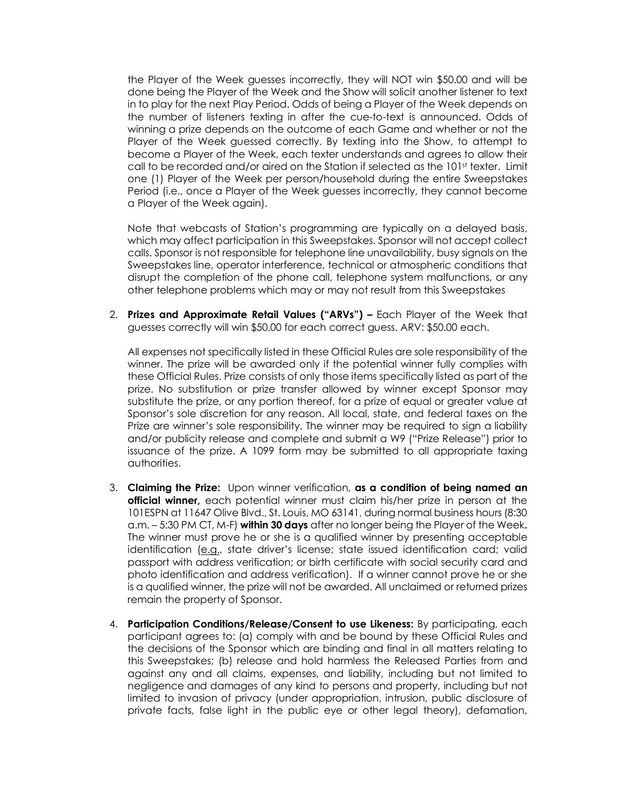the Player of the Week guesses incorrectly, they will NOT win \$50.00 and will be done being the Player of the Week and the Show will solicit another listener to text in to play for the next Play Period. Odds of being a Player of the Week depends on the number of listeners texting in after the cue-to-text is announced. Odds of winning a prize depends on the outcome of each Game and whether or not the Player of the Week guessed correctly. By texting into the Show, to attempt to become a Player of the Week, each texter understands and agrees to allow their call to be recorded and/or aired on the Station if selected as the 101st texter. Limit one (1) Player of the Week per person/household during the entire Sweepstakes Period (i.e., once a Player of the Week guesses incorrectly, they cannot become a Player of the Week again).

Note that webcasts of Station's programming are typically on a delayed basis, which may affect participation in this Sweepstakes. Sponsor will not accept collect calls. Sponsor is not responsible for telephone line unavailability, busy signals on the Sweepstakes line, operator interference, technical or atmospheric conditions that disrupt the completion of the phone call, telephone system malfunctions, or any other telephone problems which may or may not result from this Sweepstakes

2. **Prizes and Approximate Retail Values ("ARVs") –** Each Player of the Week that guesses correctly will win \$50.00 for each correct guess. ARV: \$50.00 each.

All expenses not specifically listed in these Official Rules are sole responsibility of the winner. The prize will be awarded only if the potential winner fully complies with these Official Rules. Prize consists of only those items specifically listed as part of the prize. No substitution or prize transfer allowed by winner except Sponsor may substitute the prize, or any portion thereof, for a prize of equal or greater value at Sponsor's sole discretion for any reason. All local, state, and federal taxes on the Prize are winner's sole responsibility. The winner may be required to sign a liability and/or publicity release and complete and submit a W9 ("Prize Release") prior to issuance of the prize. A 1099 form may be submitted to all appropriate taxing authorities.

- 3. **Claiming the Prize:** Upon winner verification, **as a condition of being named an official winner,** each potential winner must claim his/her prize in person at the 101ESPN at 11647 Olive Blvd., St. Louis, MO 63141, during normal business hours (8:30 a.m. – 5:30 PM CT, M-F) **within 30 days** after no longer being the Player of the Week**.** The winner must prove he or she is a qualified winner by presenting acceptable identification (e.g., state driver's license; state issued identification card; valid passport with address verification; or birth certificate with social security card and photo identification and address verification). If a winner cannot prove he or she is a qualified winner, the prize will not be awarded. All unclaimed or returned prizes remain the property of Sponsor.
- 4. **Participation Conditions/Release/Consent to use Likeness:** By participating, each participant agrees to: (a) comply with and be bound by these Official Rules and the decisions of the Sponsor which are binding and final in all matters relating to this Sweepstakes; (b) release and hold harmless the Released Parties from and against any and all claims, expenses, and liability, including but not limited to negligence and damages of any kind to persons and property, including but not limited to invasion of privacy (under appropriation, intrusion, public disclosure of private facts, false light in the public eye or other legal theory), defamation,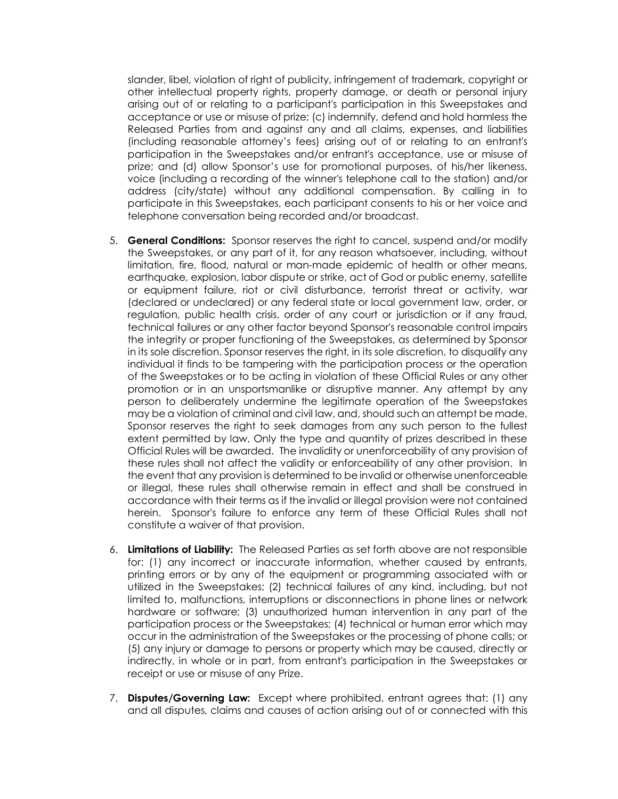slander, libel, violation of right of publicity, infringement of trademark, copyright or other intellectual property rights, property damage, or death or personal injury arising out of or relating to a participant's participation in this Sweepstakes and acceptance or use or misuse of prize; (c) indemnify, defend and hold harmless the Released Parties from and against any and all claims, expenses, and liabilities (including reasonable attorney's fees) arising out of or relating to an entrant's participation in the Sweepstakes and/or entrant's acceptance, use or misuse of prize; and (d) allow Sponsor's use for promotional purposes, of his/her likeness, voice (including a recording of the winner's telephone call to the station) and/or address (city/state) without any additional compensation. By calling in to participate in this Sweepstakes, each participant consents to his or her voice and telephone conversation being recorded and/or broadcast.

- 5. **General Conditions:** Sponsor reserves the right to cancel, suspend and/or modify the Sweepstakes, or any part of it, for any reason whatsoever, including, without limitation, fire, flood, natural or man-made epidemic of health or other means, earthquake, explosion, labor dispute or strike, act of God or public enemy, satellite or equipment failure, riot or civil disturbance, terrorist threat or activity, war (declared or undeclared) or any federal state or local government law, order, or regulation, public health crisis, order of any court or jurisdiction or if any fraud, technical failures or any other factor beyond Sponsor's reasonable control impairs the integrity or proper functioning of the Sweepstakes, as determined by Sponsor in its sole discretion. Sponsor reserves the right, in its sole discretion, to disqualify any individual it finds to be tampering with the participation process or the operation of the Sweepstakes or to be acting in violation of these Official Rules or any other promotion or in an unsportsmanlike or disruptive manner. Any attempt by any person to deliberately undermine the legitimate operation of the Sweepstakes may be a violation of criminal and civil law, and, should such an attempt be made, Sponsor reserves the right to seek damages from any such person to the fullest extent permitted by law. Only the type and quantity of prizes described in these Official Rules will be awarded. The invalidity or unenforceability of any provision of these rules shall not affect the validity or enforceability of any other provision. In the event that any provision is determined to be invalid or otherwise unenforceable or illegal, these rules shall otherwise remain in effect and shall be construed in accordance with their terms as if the invalid or illegal provision were not contained herein. Sponsor's failure to enforce any term of these Official Rules shall not constitute a waiver of that provision.
- 6. **Limitations of Liability:** The Released Parties as set forth above are not responsible for: (1) any incorrect or inaccurate information, whether caused by entrants, printing errors or by any of the equipment or programming associated with or utilized in the Sweepstakes; (2) technical failures of any kind, including, but not limited to, malfunctions, interruptions or disconnections in phone lines or network hardware or software; (3) unauthorized human intervention in any part of the participation process or the Sweepstakes; (4) technical or human error which may occur in the administration of the Sweepstakes or the processing of phone calls; or (5) any injury or damage to persons or property which may be caused, directly or indirectly, in whole or in part, from entrant's participation in the Sweepstakes or receipt or use or misuse of any Prize.
- 7. **Disputes/Governing Law:** Except where prohibited, entrant agrees that: (1) any and all disputes, claims and causes of action arising out of or connected with this